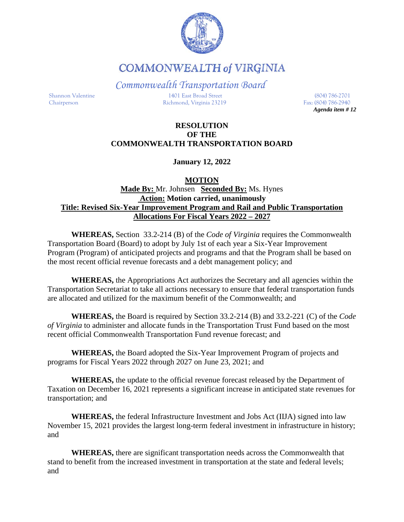

**COMMONWEALTH of VIRGINIA** 

*Commonwealth Transportation Board* Shannon Valentine 1401 East Broad Street (804) 786-2701 Chairperson Richmond, Virginia 23219 Fax: (804) 786-2940

*Agenda item # 12*

# **RESOLUTION OF THE COMMONWEALTH TRANSPORTATION BOARD**

**January 12, 2022**

# **MOTION**

### **Made By:** Mr. Johnsen **Seconded By:** Ms. Hynes **Action: Motion carried, unanimously Title: Revised Six-Year Improvement Program and Rail and Public Transportation Allocations For Fiscal Years 2022 – 2027**

**WHEREAS,** Section 33.2-214 (B) of the *Code of Virginia* requires the Commonwealth Transportation Board (Board) to adopt by July 1st of each year a Six-Year Improvement Program (Program) of anticipated projects and programs and that the Program shall be based on the most recent official revenue forecasts and a debt management policy; and

**WHEREAS,** the Appropriations Act authorizes the Secretary and all agencies within the Transportation Secretariat to take all actions necessary to ensure that federal transportation funds are allocated and utilized for the maximum benefit of the Commonwealth; and

**WHEREAS,** the Board is required by Section 33.2-214 (B) and 33.2-221 (C) of the *Code of Virginia* to administer and allocate funds in the Transportation Trust Fund based on the most recent official Commonwealth Transportation Fund revenue forecast; and

**WHEREAS,** the Board adopted the Six-Year Improvement Program of projects and programs for Fiscal Years 2022 through 2027 on June 23, 2021; and

**WHEREAS,** the update to the official revenue forecast released by the Department of Taxation on December 16, 2021 represents a significant increase in anticipated state revenues for transportation; and

**WHEREAS,** the federal Infrastructure Investment and Jobs Act (IIJA) signed into law November 15, 2021 provides the largest long-term federal investment in infrastructure in history; and

**WHEREAS,** there are significant transportation needs across the Commonwealth that stand to benefit from the increased investment in transportation at the state and federal levels; and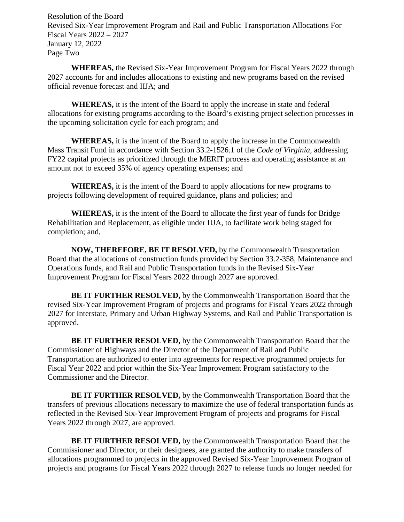Resolution of the Board Revised Six-Year Improvement Program and Rail and Public Transportation Allocations For Fiscal Years 2022 – 2027 January 12, 2022 Page Two

**WHEREAS,** the Revised Six-Year Improvement Program for Fiscal Years 2022 through 2027 accounts for and includes allocations to existing and new programs based on the revised official revenue forecast and IIJA; and

**WHEREAS,** it is the intent of the Board to apply the increase in state and federal allocations for existing programs according to the Board's existing project selection processes in the upcoming solicitation cycle for each program; and

**WHEREAS,** it is the intent of the Board to apply the increase in the Commonwealth Mass Transit Fund in accordance with Section 33.2-1526.1 of the *Code of Virginia,* addressing FY22 capital projects as prioritized through the MERIT process and operating assistance at an amount not to exceed 35% of agency operating expenses; and

**WHEREAS,** it is the intent of the Board to apply allocations for new programs to projects following development of required guidance, plans and policies; and

**WHEREAS,** it is the intent of the Board to allocate the first year of funds for Bridge Rehabilitation and Replacement, as eligible under IIJA, to facilitate work being staged for completion; and,

**NOW, THEREFORE, BE IT RESOLVED,** by the Commonwealth Transportation Board that the allocations of construction funds provided by Section 33.2-358, Maintenance and Operations funds, and Rail and Public Transportation funds in the Revised Six-Year Improvement Program for Fiscal Years 2022 through 2027 are approved.

**BE IT FURTHER RESOLVED,** by the Commonwealth Transportation Board that the revised Six-Year Improvement Program of projects and programs for Fiscal Years 2022 through 2027 for Interstate, Primary and Urban Highway Systems, and Rail and Public Transportation is approved.

**BE IT FURTHER RESOLVED,** by the Commonwealth Transportation Board that the Commissioner of Highways and the Director of the Department of Rail and Public Transportation are authorized to enter into agreements for respective programmed projects for Fiscal Year 2022 and prior within the Six-Year Improvement Program satisfactory to the Commissioner and the Director.

**BE IT FURTHER RESOLVED,** by the Commonwealth Transportation Board that the transfers of previous allocations necessary to maximize the use of federal transportation funds as reflected in the Revised Six-Year Improvement Program of projects and programs for Fiscal Years 2022 through 2027, are approved.

**BE IT FURTHER RESOLVED,** by the Commonwealth Transportation Board that the Commissioner and Director, or their designees, are granted the authority to make transfers of allocations programmed to projects in the approved Revised Six-Year Improvement Program of projects and programs for Fiscal Years 2022 through 2027 to release funds no longer needed for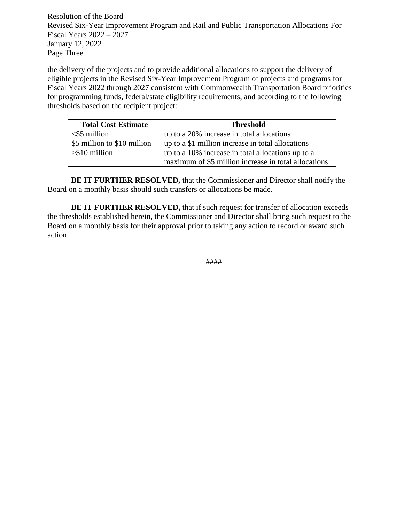Resolution of the Board Revised Six-Year Improvement Program and Rail and Public Transportation Allocations For Fiscal Years 2022 – 2027 January 12, 2022 Page Three

the delivery of the projects and to provide additional allocations to support the delivery of eligible projects in the Revised Six-Year Improvement Program of projects and programs for Fiscal Years 2022 through 2027 consistent with Commonwealth Transportation Board priorities for programming funds, federal/state eligibility requirements, and according to the following thresholds based on the recipient project:

| <b>Total Cost Estimate</b>  | <b>Threshold</b>                                     |
|-----------------------------|------------------------------------------------------|
| $<$ \$5 million             | up to a 20% increase in total allocations            |
| \$5 million to \$10 million | up to a \$1 million increase in total allocations    |
| $> $10$ million             | up to a 10% increase in total allocations up to a    |
|                             | maximum of \$5 million increase in total allocations |

**BE IT FURTHER RESOLVED,** that the Commissioner and Director shall notify the Board on a monthly basis should such transfers or allocations be made.

**BE IT FURTHER RESOLVED,** that if such request for transfer of allocation exceeds the thresholds established herein, the Commissioner and Director shall bring such request to the Board on a monthly basis for their approval prior to taking any action to record or award such action.

####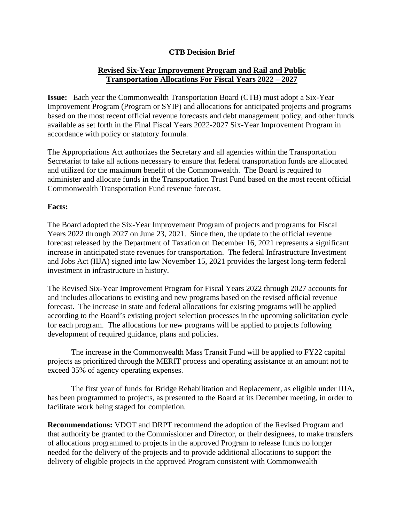#### **CTB Decision Brief**

#### **Revised Six-Year Improvement Program and Rail and Public Transportation Allocations For Fiscal Years 2022 – 2027**

**Issue:** Each year the Commonwealth Transportation Board (CTB) must adopt a Six-Year Improvement Program (Program or SYIP) and allocations for anticipated projects and programs based on the most recent official revenue forecasts and debt management policy, and other funds available as set forth in the Final Fiscal Years 2022-2027 Six-Year Improvement Program in accordance with policy or statutory formula.

The Appropriations Act authorizes the Secretary and all agencies within the Transportation Secretariat to take all actions necessary to ensure that federal transportation funds are allocated and utilized for the maximum benefit of the Commonwealth. The Board is required to administer and allocate funds in the Transportation Trust Fund based on the most recent official Commonwealth Transportation Fund revenue forecast.

#### **Facts:**

The Board adopted the Six-Year Improvement Program of projects and programs for Fiscal Years 2022 through 2027 on June 23, 2021. Since then, the update to the official revenue forecast released by the Department of Taxation on December 16, 2021 represents a significant increase in anticipated state revenues for transportation. The federal Infrastructure Investment and Jobs Act (IIJA) signed into law November 15, 2021 provides the largest long-term federal investment in infrastructure in history.

The Revised Six-Year Improvement Program for Fiscal Years 2022 through 2027 accounts for and includes allocations to existing and new programs based on the revised official revenue forecast. The increase in state and federal allocations for existing programs will be applied according to the Board's existing project selection processes in the upcoming solicitation cycle for each program. The allocations for new programs will be applied to projects following development of required guidance, plans and policies.

The increase in the Commonwealth Mass Transit Fund will be applied to FY22 capital projects as prioritized through the MERIT process and operating assistance at an amount not to exceed 35% of agency operating expenses.

The first year of funds for Bridge Rehabilitation and Replacement, as eligible under IIJA, has been programmed to projects, as presented to the Board at its December meeting, in order to facilitate work being staged for completion.

**Recommendations:** VDOT and DRPT recommend the adoption of the Revised Program and that authority be granted to the Commissioner and Director, or their designees, to make transfers of allocations programmed to projects in the approved Program to release funds no longer needed for the delivery of the projects and to provide additional allocations to support the delivery of eligible projects in the approved Program consistent with Commonwealth